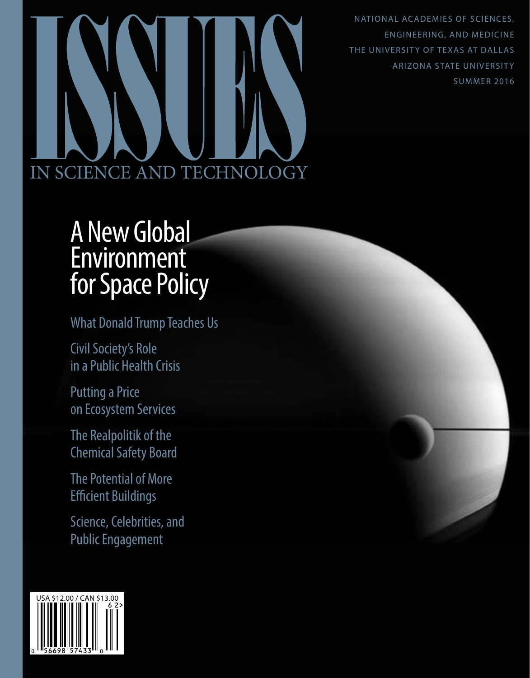NATIONAL ACADEMIES OF SCIENCES, ENGINEERING, AND MEDICINE THE UNIVERSITY OF TEXAS AT DALLAS ARIZONA STATE UNIVERSITY SUMMER 2016

# IN SCIENCE AND TECHNOLOGY

# A New Global Environment for Space Policy

What Donald Trump Teaches Us

Civil Society's Role in a Public Health Crisis

Putting a Price on Ecosystem Services

The Realpolitik of the Chemical Safety Board

The Potential of More Efficient Buildings

Science, Celebrities, and Public Engagement

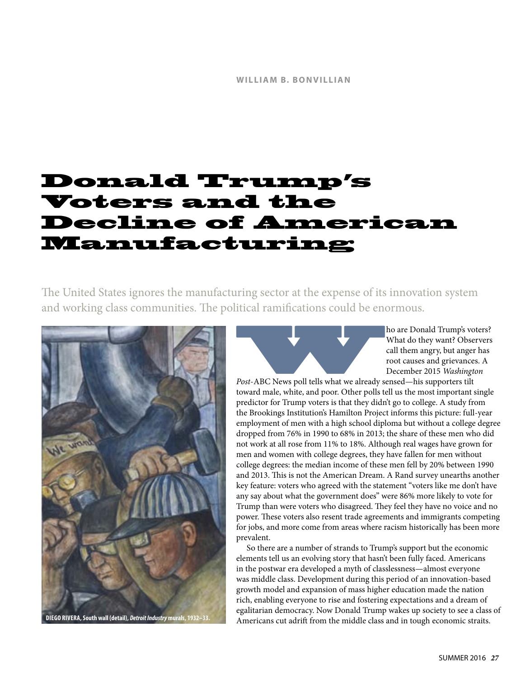## Donald Trump's Voters and the Decline of American Manufacturing

The United States ignores the manufacturing sector at the expense of its innovation system and working class communities. The political ramifications could be enormous.



**Post-ABC News poll tells what we already sensed—his supporters tilt**<br>*Post-ABC News poll tells what we already sensed—his supporters tilt* What do they want? Observers call them angry, but anger has root causes and grievances. A December 2015 *Washington* 

toward male, white, and poor. Other polls tell us the most important single predictor for Trump voters is that they didn't go to college. A study from the Brookings Institution's Hamilton Project informs this picture: full-year employment of men with a high school diploma but without a college degree dropped from 76% in 1990 to 68% in 2013; the share of these men who did not work at all rose from 11% to 18%. Although real wages have grown for men and women with college degrees, they have fallen for men without college degrees: the median income of these men fell by 20% between 1990 and 2013. This is not the American Dream. A Rand survey unearths another key feature: voters who agreed with the statement "voters like me don't have any say about what the government does" were 86% more likely to vote for Trump than were voters who disagreed. They feel they have no voice and no power. These voters also resent trade agreements and immigrants competing for jobs, and more come from areas where racism historically has been more prevalent.

So there are a number of strands to Trump's support but the economic elements tell us an evolving story that hasn't been fully faced. Americans in the postwar era developed a myth of classlessness—almost everyone was middle class. Development during this period of an innovation-based growth model and expansion of mass higher education made the nation rich, enabling everyone to rise and fostering expectations and a dream of egalitarian democracy. Now Donald Trump wakes up society to see a class of Americans cut adrift from the middle class and in tough economic straits.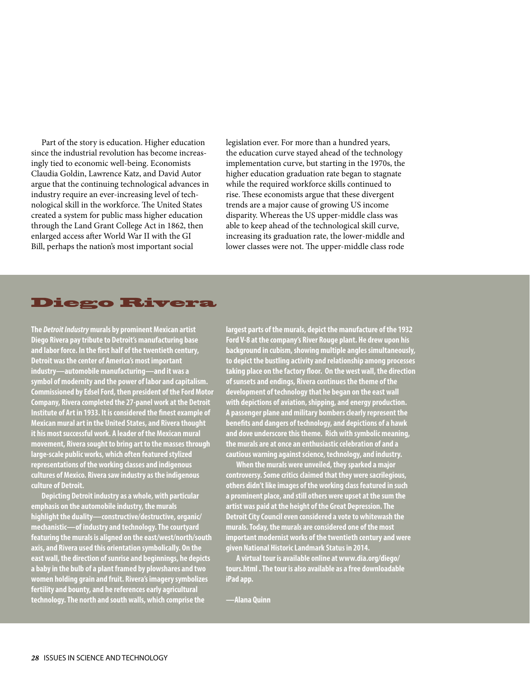Part of the story is education. Higher education since the industrial revolution has become increasingly tied to economic well-being. Economists Claudia Goldin, Lawrence Katz, and David Autor argue that the continuing technological advances in industry require an ever-increasing level of technological skill in the workforce. The United States created a system for public mass higher education through the Land Grant College Act in 1862, then enlarged access after World War II with the GI Bill, perhaps the nation's most important social

legislation ever. For more than a hundred years, the education curve stayed ahead of the technology implementation curve, but starting in the 1970s, the higher education graduation rate began to stagnate while the required workforce skills continued to rise. These economists argue that these divergent trends are a major cause of growing US income disparity. Whereas the US upper-middle class was able to keep ahead of the technological skill curve, increasing its graduation rate, the lower-middle and lower classes were not. The upper-middle class rode

### Diego Rivera

**The** *Detroit Industry* **murals by prominent Mexican artist Diego Rivera pay tribute to Detroit's manufacturing base and labor force. In the first half of the twentieth century, Detroit was the center of America's most important industry—automobile manufacturing—and it was a symbol of modernity and the power of labor and capitalism. Commissioned by Edsel Ford, then president of the Ford Motor Company, Rivera completed the 27-panel work at the Detroit Institute of Art in 1933. It is considered the finest example of Mexican mural art in the United States, and Rivera thought it his most successful work. A leader of the Mexican mural movement, Rivera sought to bring art to the masses through large-scale public works, which often featured stylized representations of the working classes and indigenous cultures of Mexico. Rivera saw industry as the indigenous culture of Detroit.**

**Depicting Detroit industry as a whole, with particular emphasis on the automobile industry, the murals highlight the duality—constructive/destructive, organic/ mechanistic—of industry and technology. The courtyard featuring the murals is aligned on the east/west/north/south axis, and Rivera used this orientation symbolically. On the east wall, the direction of sunrise and beginnings, he depicts a baby in the bulb of a plant framed by plowshares and two women holding grain and fruit. Rivera's imagery symbolizes fertility and bounty, and he references early agricultural technology. The north and south walls, which comprise the** 

**largest parts of the murals, depict the manufacture of the 1932 Ford V-8 at the company's River Rouge plant. He drew upon his background in cubism, showing multiple angles simultaneously, to depict the bustling activity and relationship among processes taking place on the factory floor. On the west wall, the direction of sunsets and endings, Rivera continues the theme of the development of technology that he began on the east wall with depictions of aviation, shipping, and energy production. A passenger plane and military bombers clearly represent the benefits and dangers of technology, and depictions of a hawk and dove underscore this theme. Rich with symbolic meaning, the murals are at once an enthusiastic celebration of and a cautious warning against science, technology, and industry.**

**When the murals were unveiled, they sparked a major controversy. Some critics claimed that they were sacrilegious, others didn't like images of the working class featured in such a prominent place, and still others were upset at the sum the artist was paid at the height of the Great Depression. The Detroit City Council even considered a vote to whitewash the murals. Today, the murals are considered one of the most important modernist works of the twentieth century and were given National Historic Landmark Status in 2014.** 

**A virtual tour is available online at www.dia.org/diego/ tours.html . The tour is also available as a free downloadable iPad app.** 

**—Alana Quinn**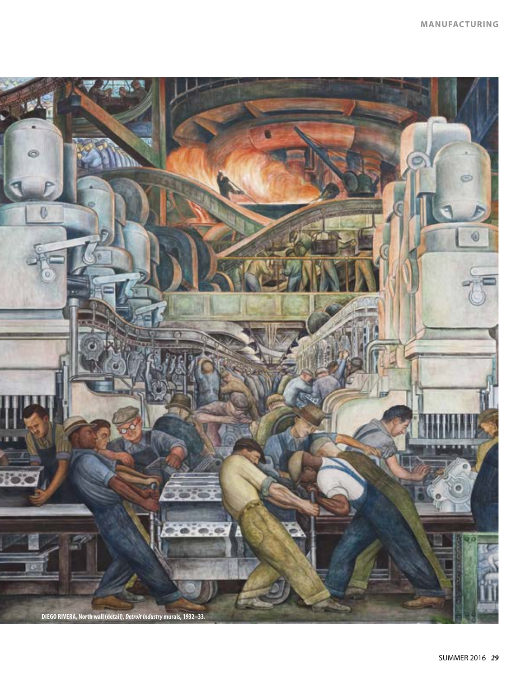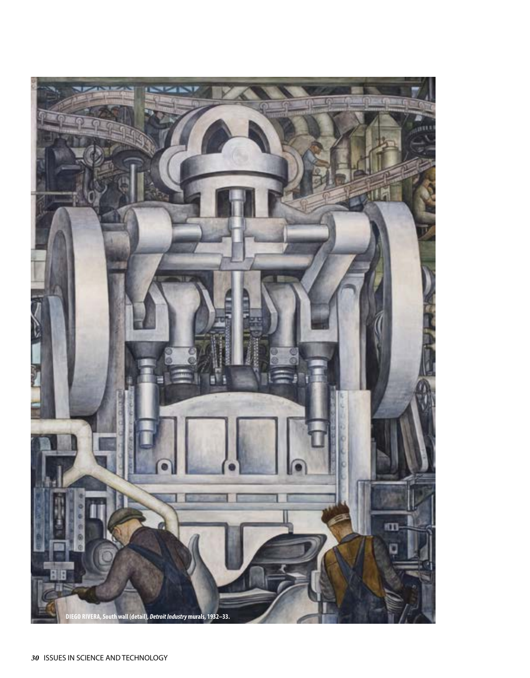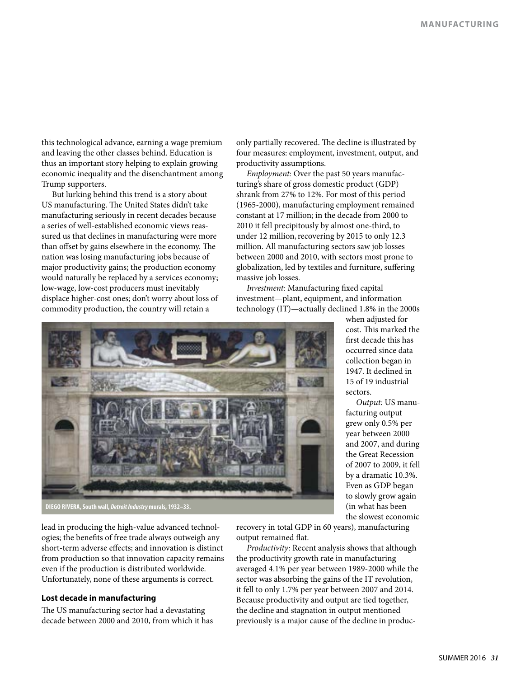this technological advance, earning a wage premium and leaving the other classes behind. Education is thus an important story helping to explain growing economic inequality and the disenchantment among Trump supporters.

But lurking behind this trend is a story about US manufacturing. The United States didn't take manufacturing seriously in recent decades because a series of well-established economic views reassured us that declines in manufacturing were more than offset by gains elsewhere in the economy. The nation was losing manufacturing jobs because of major productivity gains; the production economy would naturally be replaced by a services economy; low-wage, low-cost producers must inevitably displace higher-cost ones; don't worry about loss of commodity production, the country will retain a

only partially recovered. The decline is illustrated by four measures: employment, investment, output, and productivity assumptions.

*Employment:* Over the past 50 years manufacturing's share of gross domestic product (GDP) shrank from 27% to 12%. For most of this period (1965-2000), manufacturing employment remained constant at 17 million; in the decade from 2000 to 2010 it fell precipitously by almost one-third, to under 12 million, recovering by 2015 to only 12.3 million. All manufacturing sectors saw job losses between 2000 and 2010, with sectors most prone to globalization, led by textiles and furniture, suffering massive job losses.

*Investment:* Manufacturing fixed capital investment—plant, equipment, and information technology (IT)—actually declined 1.8% in the 2000s



when adjusted for cost. This marked the first decade this has occurred since data collection began in 1947. It declined in 15 of 19 industrial sectors.

*Output:* US manufacturing output grew only 0.5% per year between 2000 and 2007, and during the Great Recession of 2007 to 2009, it fell by a dramatic 10.3%. Even as GDP began to slowly grow again (in what has been the slowest economic

lead in producing the high-value advanced technologies; the benefits of free trade always outweigh any short-term adverse effects; and innovation is distinct from production so that innovation capacity remains even if the production is distributed worldwide. Unfortunately, none of these arguments is correct.

### **Lost decade in manufacturing**

The US manufacturing sector had a devastating decade between 2000 and 2010, from which it has recovery in total GDP in 60 years), manufacturing output remained flat.

*Productivity:* Recent analysis shows that although the productivity growth rate in manufacturing averaged 4.1% per year between 1989-2000 while the sector was absorbing the gains of the IT revolution, it fell to only 1.7% per year between 2007 and 2014. Because productivity and output are tied together, the decline and stagnation in output mentioned previously is a major cause of the decline in produc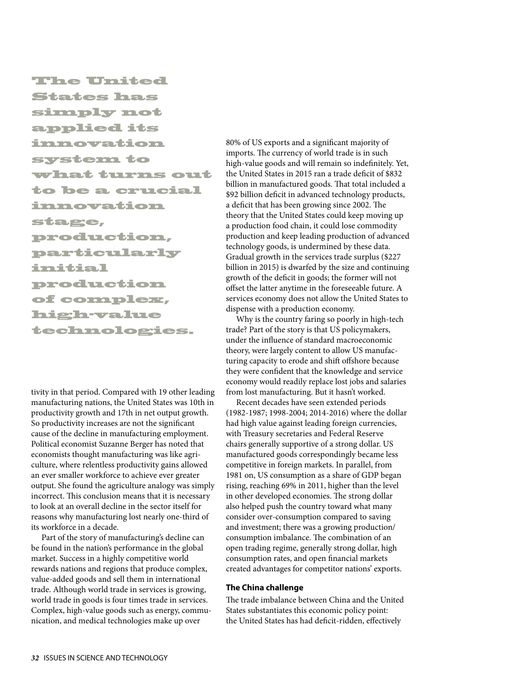The United States has simply not applied its innovation system to what turns out to be a crucial innovation stage, production, particularly initial production of complex, high-value technologies.

tivity in that period. Compared with 19 other leading manufacturing nations, the United States was 10th in productivity growth and 17th in net output growth. So productivity increases are not the significant cause of the decline in manufacturing employment. Political economist Suzanne Berger has noted that economists thought manufacturing was like agriculture, where relentless productivity gains allowed an ever smaller workforce to achieve ever greater output. She found the agriculture analogy was simply incorrect. This conclusion means that it is necessary to look at an overall decline in the sector itself for reasons why manufacturing lost nearly one-third of its workforce in a decade.

Part of the story of manufacturing's decline can be found in the nation's performance in the global market. Success in a highly competitive world rewards nations and regions that produce complex, value-added goods and sell them in international trade. Although world trade in services is growing, world trade in goods is four times trade in services. Complex, high-value goods such as energy, communication, and medical technologies make up over

80% of US exports and a significant majority of imports. The currency of world trade is in such high-value goods and will remain so indefinitely. Yet, the United States in 2015 ran a trade deficit of \$832 billion in manufactured goods. That total included a \$92 billion deficit in advanced technology products, a deficit that has been growing since 2002. The theory that the United States could keep moving up a production food chain, it could lose commodity production and keep leading production of advanced technology goods, is undermined by these data. Gradual growth in the services trade surplus (\$227 billion in 2015) is dwarfed by the size and continuing growth of the deficit in goods; the former will not offset the latter anytime in the foreseeable future. A services economy does not allow the United States to dispense with a production economy.

Why is the country faring so poorly in high-tech trade? Part of the story is that US policymakers, under the influence of standard macroeconomic theory, were largely content to allow US manufacturing capacity to erode and shift offshore because they were confident that the knowledge and service economy would readily replace lost jobs and salaries from lost manufacturing. But it hasn't worked.

Recent decades have seen extended periods (1982-1987; 1998-2004; 2014-2016) where the dollar had high value against leading foreign currencies, with Treasury secretaries and Federal Reserve chairs generally supportive of a strong dollar. US manufactured goods correspondingly became less competitive in foreign markets. In parallel, from 1981 on, US consumption as a share of GDP began rising, reaching 69% in 2011, higher than the level in other developed economies. The strong dollar also helped push the country toward what many consider over-consumption compared to saving and investment; there was a growing production/ consumption imbalance. The combination of an open trading regime, generally strong dollar, high consumption rates, and open financial markets created advantages for competitor nations' exports.

### **The China challenge**

The trade imbalance between China and the United States substantiates this economic policy point: the United States has had deficit-ridden, effectively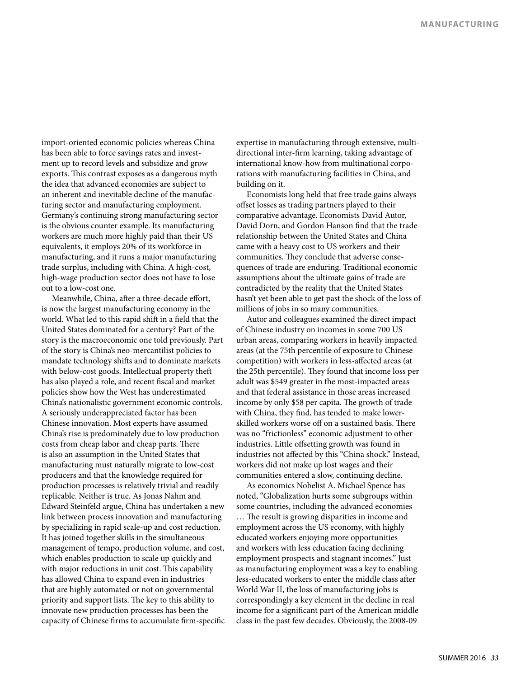import-oriented economic policies whereas China has been able to force savings rates and investment up to record levels and subsidize and grow exports. This contrast exposes as a dangerous myth the idea that advanced economies are subject to an inherent and inevitable decline of the manufacturing sector and manufacturing employment. Germany's continuing strong manufacturing sector is the obvious counter example. Its manufacturing workers are much more highly paid than their US equivalents, it employs 20% of its workforce in manufacturing, and it runs a major manufacturing trade surplus, including with China. A high-cost, high-wage production sector does not have to lose out to a low-cost one.

Meanwhile, China, after a three-decade effort, is now the largest manufacturing economy in the world. What led to this rapid shift in a field that the United States dominated for a century? Part of the story is the macroeconomic one told previously. Part of the story is China's neo-mercantilist policies to mandate technology shifts and to dominate markets with below-cost goods. Intellectual property theft has also played a role, and recent fiscal and market policies show how the West has underestimated China's nationalistic government economic controls. A seriously underappreciated factor has been Chinese innovation. Most experts have assumed China's rise is predominately due to low production costs from cheap labor and cheap parts. There is also an assumption in the United States that manufacturing must naturally migrate to low-cost producers and that the knowledge required for production processes is relatively trivial and readily replicable. Neither is true. As Jonas Nahm and Edward Steinfeld argue, China has undertaken a new link between process innovation and manufacturing by specializing in rapid scale-up and cost reduction. It has joined together skills in the simultaneous management of tempo, production volume, and cost, which enables production to scale up quickly and with major reductions in unit cost. This capability has allowed China to expand even in industries that are highly automated or not on governmental priority and support lists. The key to this ability to innovate new production processes has been the capacity of Chinese firms to accumulate firm-specific expertise in manufacturing through extensive, multidirectional inter-firm learning, taking advantage of international know-how from multinational corporations with manufacturing facilities in China, and building on it.

Economists long held that free trade gains always offset losses as trading partners played to their comparative advantage. Economists David Autor, David Dorn, and Gordon Hanson find that the trade relationship between the United States and China came with a heavy cost to US workers and their communities. They conclude that adverse consequences of trade are enduring. Traditional economic assumptions about the ultimate gains of trade are contradicted by the reality that the United States hasn't yet been able to get past the shock of the loss of millions of jobs in so many communities.

Autor and colleagues examined the direct impact of Chinese industry on incomes in some 700 US urban areas, comparing workers in heavily impacted areas (at the 75th percentile of exposure to Chinese competition) with workers in less-affected areas (at the 25th percentile). They found that income loss per adult was \$549 greater in the most-impacted areas and that federal assistance in those areas increased income by only \$58 per capita. The growth of trade with China, they find, has tended to make lowerskilled workers worse off on a sustained basis. There was no "frictionless" economic adjustment to other industries. Little offsetting growth was found in industries not affected by this "China shock." Instead, workers did not make up lost wages and their communities entered a slow, continuing decline.

As economics Nobelist A. Michael Spence has noted, "Globalization hurts some subgroups within some countries, including the advanced economies … The result is growing disparities in income and employment across the US economy, with highly educated workers enjoying more opportunities and workers with less education facing declining employment prospects and stagnant incomes." Just as manufacturing employment was a key to enabling less-educated workers to enter the middle class after World War II, the loss of manufacturing jobs is correspondingly a key element in the decline in real income for a significant part of the American middle class in the past few decades. Obviously, the 2008-09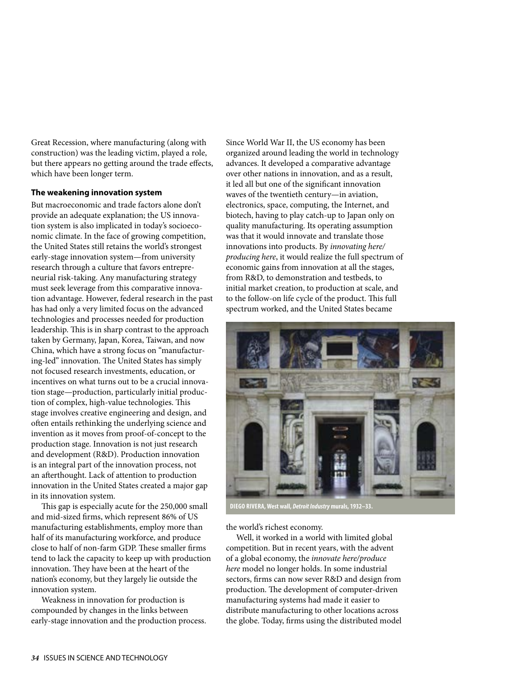Great Recession, where manufacturing (along with construction) was the leading victim, played a role, but there appears no getting around the trade effects, which have been longer term.

### **The weakening innovation system**

But macroeconomic and trade factors alone don't provide an adequate explanation; the US innovation system is also implicated in today's socioeconomic climate. In the face of growing competition, the United States still retains the world's strongest early-stage innovation system—from university research through a culture that favors entrepreneurial risk-taking. Any manufacturing strategy must seek leverage from this comparative innovation advantage. However, federal research in the past has had only a very limited focus on the advanced technologies and processes needed for production leadership. This is in sharp contrast to the approach taken by Germany, Japan, Korea, Taiwan, and now China, which have a strong focus on "manufacturing-led" innovation. The United States has simply not focused research investments, education, or incentives on what turns out to be a crucial innovation stage—production, particularly initial production of complex, high-value technologies. This stage involves creative engineering and design, and often entails rethinking the underlying science and invention as it moves from proof-of-concept to the production stage. Innovation is not just research and development (R&D). Production innovation is an integral part of the innovation process, not an afterthought. Lack of attention to production innovation in the United States created a major gap in its innovation system.

This gap is especially acute for the 250,000 small and mid-sized firms, which represent 86% of US manufacturing establishments, employ more than half of its manufacturing workforce, and produce close to half of non-farm GDP. These smaller firms tend to lack the capacity to keep up with production innovation. They have been at the heart of the nation's economy, but they largely lie outside the innovation system.

Weakness in innovation for production is compounded by changes in the links between early-stage innovation and the production process. Since World War II, the US economy has been organized around leading the world in technology advances. It developed a comparative advantage over other nations in innovation, and as a result, it led all but one of the significant innovation waves of the twentieth century—in aviation, electronics, space, computing, the Internet, and biotech, having to play catch-up to Japan only on quality manufacturing. Its operating assumption was that it would innovate and translate those innovations into products. By *innovating here/ producing here*, it would realize the full spectrum of economic gains from innovation at all the stages, from R&D, to demonstration and testbeds, to initial market creation, to production at scale, and to the follow-on life cycle of the product. This full spectrum worked, and the United States became



**DIEGO RIVERA, West wall,** *Detroit Industry* **murals, 1932–33.**

the world's richest economy.

Well, it worked in a world with limited global competition. But in recent years, with the advent of a global economy, the *innovate here/produce here* model no longer holds. In some industrial sectors, firms can now sever R&D and design from production. The development of computer-driven manufacturing systems had made it easier to distribute manufacturing to other locations across the globe. Today, firms using the distributed model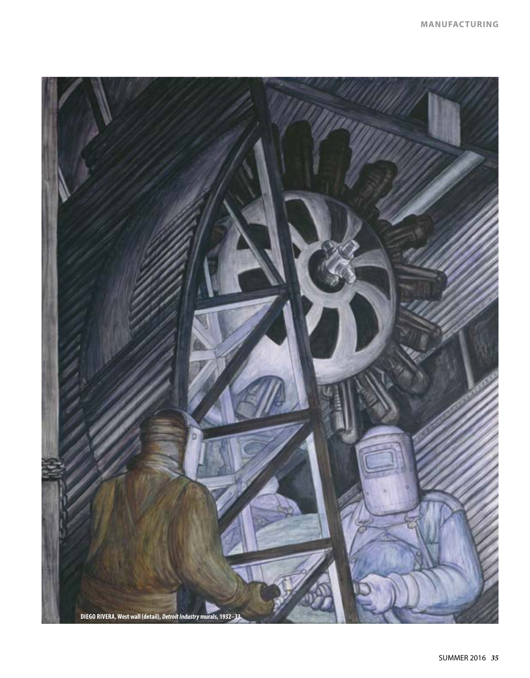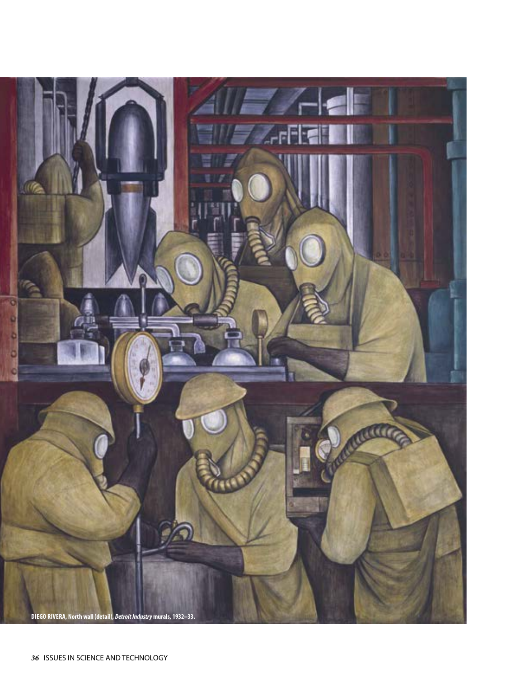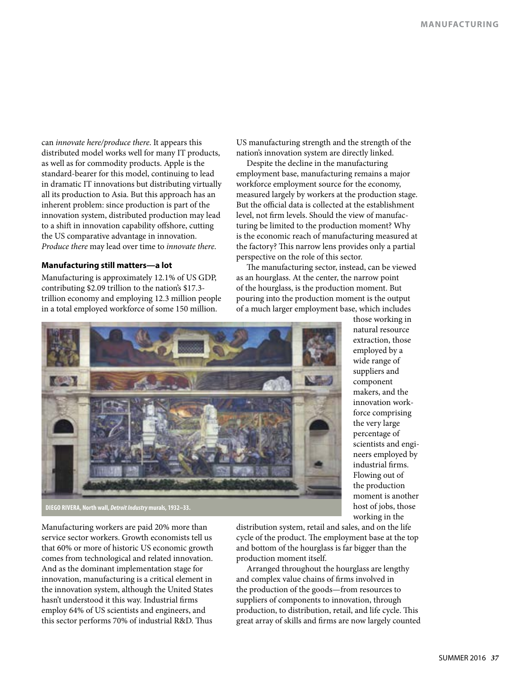can *innovate here/produce there*. It appears this distributed model works well for many IT products, as well as for commodity products. Apple is the standard-bearer for this model, continuing to lead in dramatic IT innovations but distributing virtually all its production to Asia. But this approach has an inherent problem: since production is part of the innovation system, distributed production may lead to a shift in innovation capability offshore, cutting the US comparative advantage in innovation. *Produce there* may lead over time to *innovate there*.

### **Manufacturing still matters—a lot**

Manufacturing is approximately 12.1% of US GDP, contributing \$2.09 trillion to the nation's \$17.3 trillion economy and employing 12.3 million people in a total employed workforce of some 150 million.

US manufacturing strength and the strength of the nation's innovation system are directly linked.

Despite the decline in the manufacturing employment base, manufacturing remains a major workforce employment source for the economy, measured largely by workers at the production stage. But the official data is collected at the establishment level, not firm levels. Should the view of manufacturing be limited to the production moment? Why is the economic reach of manufacturing measured at the factory? This narrow lens provides only a partial perspective on the role of this sector.

The manufacturing sector, instead, can be viewed as an hourglass. At the center, the narrow point of the hourglass, is the production moment. But pouring into the production moment is the output of a much larger employment base, which includes



those working in natural resource extraction, those employed by a wide range of suppliers and component makers, and the innovation workforce comprising the very large percentage of scientists and engineers employed by industrial firms. Flowing out of the production moment is another host of jobs, those working in the

**DIEGO RIVERA, North wall,** *Detroit Industry* **murals, 1932–33.**

Manufacturing workers are paid 20% more than service sector workers. Growth economists tell us that 60% or more of historic US economic growth comes from technological and related innovation. And as the dominant implementation stage for innovation, manufacturing is a critical element in the innovation system, although the United States hasn't understood it this way. Industrial firms employ 64% of US scientists and engineers, and this sector performs 70% of industrial R&D. Thus

distribution system, retail and sales, and on the life cycle of the product. The employment base at the top and bottom of the hourglass is far bigger than the production moment itself.

Arranged throughout the hourglass are lengthy and complex value chains of firms involved in the production of the goods—from resources to suppliers of components to innovation, through production, to distribution, retail, and life cycle. This great array of skills and firms are now largely counted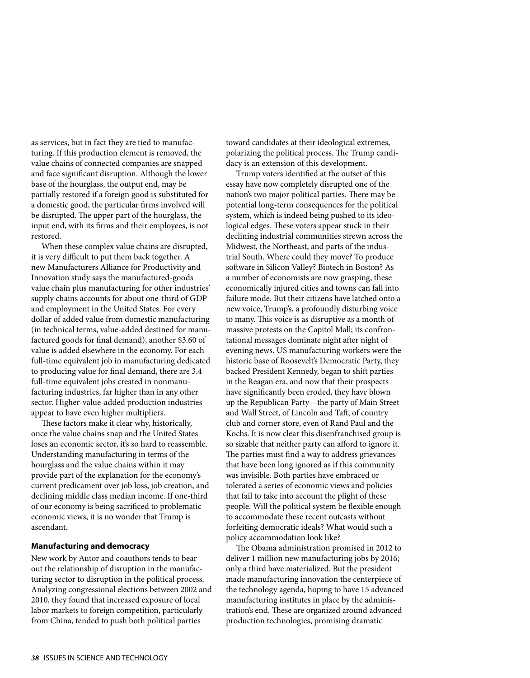as services, but in fact they are tied to manufacturing. If this production element is removed, the value chains of connected companies are snapped and face significant disruption. Although the lower base of the hourglass, the output end, may be partially restored if a foreign good is substituted for a domestic good, the particular firms involved will be disrupted. The upper part of the hourglass, the input end, with its firms and their employees, is not restored.

When these complex value chains are disrupted, it is very difficult to put them back together. A new Manufacturers Alliance for Productivity and Innovation study says the manufactured-goods value chain plus manufacturing for other industries' supply chains accounts for about one-third of GDP and employment in the United States. For every dollar of added value from domestic manufacturing (in technical terms, value-added destined for manufactured goods for final demand), another \$3.60 of value is added elsewhere in the economy. For each full-time equivalent job in manufacturing dedicated to producing value for final demand, there are 3.4 full-time equivalent jobs created in nonmanufacturing industries, far higher than in any other sector. Higher-value-added production industries appear to have even higher multipliers.

These factors make it clear why, historically, once the value chains snap and the United States loses an economic sector, it's so hard to reassemble. Understanding manufacturing in terms of the hourglass and the value chains within it may provide part of the explanation for the economy's current predicament over job loss, job creation, and declining middle class median income. If one-third of our economy is being sacrificed to problematic economic views, it is no wonder that Trump is ascendant.

### **Manufacturing and democracy**

New work by Autor and coauthors tends to bear out the relationship of disruption in the manufacturing sector to disruption in the political process. Analyzing congressional elections between 2002 and 2010, they found that increased exposure of local labor markets to foreign competition, particularly from China, tended to push both political parties

toward candidates at their ideological extremes, polarizing the political process. The Trump candidacy is an extension of this development.

Trump voters identified at the outset of this essay have now completely disrupted one of the nation's two major political parties. There may be potential long-term consequences for the political system, which is indeed being pushed to its ideological edges. These voters appear stuck in their declining industrial communities strewn across the Midwest, the Northeast, and parts of the industrial South. Where could they move? To produce software in Silicon Valley? Biotech in Boston? As a number of economists are now grasping, these economically injured cities and towns can fall into failure mode. But their citizens have latched onto a new voice, Trump's, a profoundly disturbing voice to many. This voice is as disruptive as a month of massive protests on the Capitol Mall; its confrontational messages dominate night after night of evening news. US manufacturing workers were the historic base of Roosevelt's Democratic Party, they backed President Kennedy, began to shift parties in the Reagan era, and now that their prospects have significantly been eroded, they have blown up the Republican Party—the party of Main Street and Wall Street, of Lincoln and Taft, of country club and corner store, even of Rand Paul and the Kochs. It is now clear this disenfranchised group is so sizable that neither party can afford to ignore it. The parties must find a way to address grievances that have been long ignored as if this community was invisible. Both parties have embraced or tolerated a series of economic views and policies that fail to take into account the plight of these people. Will the political system be flexible enough to accommodate these recent outcasts without forfeiting democratic ideals? What would such a policy accommodation look like?

The Obama administration promised in 2012 to deliver 1 million new manufacturing jobs by 2016; only a third have materialized. But the president made manufacturing innovation the centerpiece of the technology agenda, hoping to have 15 advanced manufacturing institutes in place by the administration's end. These are organized around advanced production technologies, promising dramatic